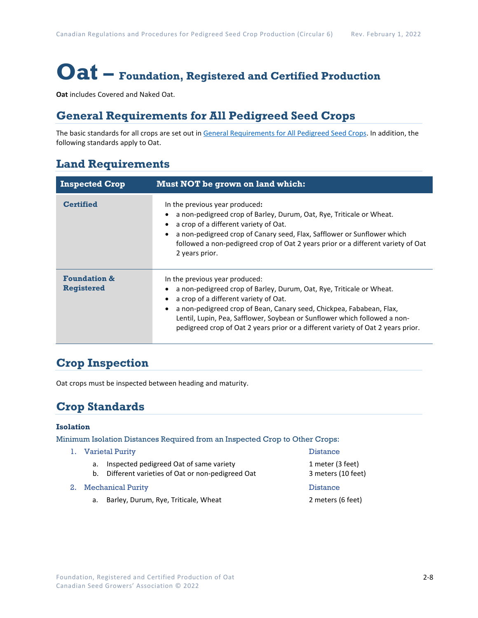# **Oat – Foundation, Registered and Certified Production**

**Oat** includes Covered and Naked Oat.

# **General Requirements for All Pedigreed Seed Crops**

The basic standards for all crops are set out i[n General Requirements for All Pedigreed Seed](https://seedgrowers.ca/wp-content/uploads/2020/01/GENERAL-REQUIREMENTS-ALL-CROPS_EN.pdf) Crops. In addition, the following standards apply to Oat.

### **Land Requirements**

| <b>Inspected Crop</b>                        | <b>Must NOT be grown on land which:</b>                                                                                                                                                                                                                                                                                                                                                  |  |  |
|----------------------------------------------|------------------------------------------------------------------------------------------------------------------------------------------------------------------------------------------------------------------------------------------------------------------------------------------------------------------------------------------------------------------------------------------|--|--|
| <b>Certified</b>                             | In the previous year produced:<br>a non-pedigreed crop of Barley, Durum, Oat, Rye, Triticale or Wheat.<br>a crop of a different variety of Oat.<br>a non-pedigreed crop of Canary seed, Flax, Safflower or Sunflower which<br>followed a non-pedigreed crop of Oat 2 years prior or a different variety of Oat<br>2 years prior.                                                         |  |  |
| <b>Foundation &amp;</b><br><b>Registered</b> | In the previous year produced:<br>a non-pedigreed crop of Barley, Durum, Oat, Rye, Triticale or Wheat.<br>a crop of a different variety of Oat.<br>a non-pedigreed crop of Bean, Canary seed, Chickpea, Fababean, Flax,<br>Lentil, Lupin, Pea, Safflower, Soybean or Sunflower which followed a non-<br>pedigreed crop of Oat 2 years prior or a different variety of Oat 2 years prior. |  |  |

### **Crop Inspection**

Oat crops must be inspected between heading and maturity.

## **Crop Standards**

#### **Isolation**

Minimum Isolation Distances Required from an Inspected Crop to Other Crops:

- 1. Varietal Purity Distance
	- a. Inspected pedigreed Oat of same variety 1 meter (3 feet)
	- b. Different varieties of Oat or non-pedigreed Oat 3 meters (10 feet)
- 2. Mechanical Purity **Distance** 
	- a. Barley, Durum, Rye, Triticale, Wheat 2 meters (6 feet)